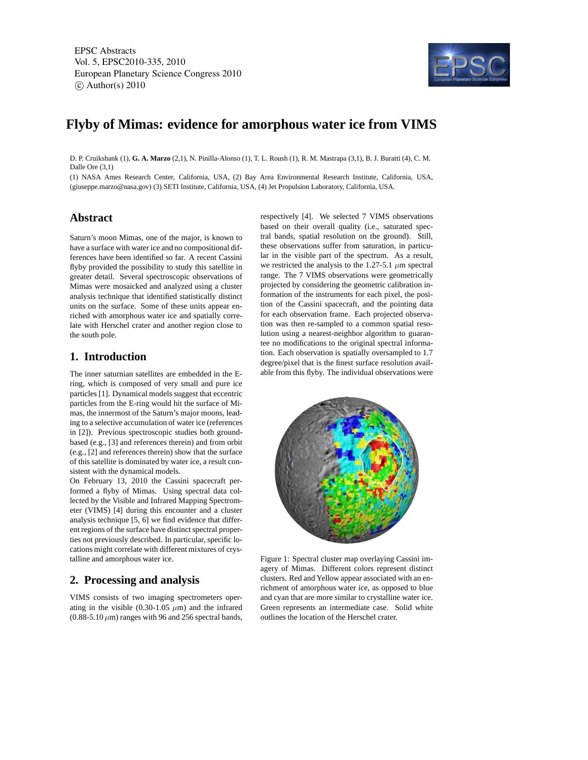EPSC Abstracts Vol. 5, EPSC2010-335, 2010 European Planetary Science Congress 2010  $\circ$  Author(s) 2010



# **Flyby of Mimas: evidence for amorphous water ice from VIMS**

D. P. Cruikshank (1), **G. A. Marzo** (2,1), N. Pinilla-Alonso (1), T. L. Roush (1), R. M. Mastrapa (3,1), B. J. Buratti (4), C. M. Dalle Ore (3,1)

(1) NASA Ames Research Center, California, USA, (2) Bay Area Environmental Research Institute, California, USA, (giuseppe.marzo@nasa.gov) (3) SETI Institute, California, USA, (4) Jet Propulsion Laboratory, California, USA.

## **Abstract**

Saturn's moon Mimas, one of the major, is known to have a surface with water ice and no compositional differences have been identified so far. A recent Cassini flyby provided the possibility to study this satellite in greater detail. Several spectroscopic observations of Mimas were mosaicked and analyzed using a cluster analysis technique that identified statistically distinct units on the surface. Some of these units appear enriched with amorphous water ice and spatially correlate with Herschel crater and another region close to the south pole.

# **1. Introduction**

The inner saturnian satellites are embedded in the Ering, which is composed of very small and pure ice particles [1]. Dynamical models suggest that eccentric particles from the E-ring would hit the surface of Mimas, the innermost of the Saturn's major moons, leading to a selective accumulation of water ice (references in [2]). Previous spectroscopic studies both groundbased (e.g., [3] and references therein) and from orbit (e.g., [2] and references therein) show that the surface of this satellite is dominated by water ice, a result consistent with the dynamical models.

On February 13, 2010 the Cassini spacecraft performed a flyby of Mimas. Using spectral data collected by the Visible and Infrared Mapping Spectrometer (VIMS) [4] during this encounter and a cluster analysis technique [5, 6] we find evidence that different regions of the surface have distinct spectral properties not previously described. In particular, specific locations might correlate with different mixtures of crystalline and amorphous water ice.

# **2. Processing and analysis**

VIMS consists of two imaging spectrometers operating in the visible (0.30-1.05  $\mu$ m) and the infrared  $(0.88-5.10 \,\mu m)$  ranges with 96 and 256 spectral bands, respectively [4]. We selected 7 VIMS observations based on their overall quality (i.e., saturated spectral bands, spatial resolution on the ground). Still, these observations suffer from saturation, in particular in the visible part of the spectrum. As a result, we restricted the analysis to the 1.27-5.1  $\mu$ m spectral range. The 7 VIMS observations were geometrically projected by considering the geometric calibration information of the instruments for each pixel, the position of the Cassini spacecraft, and the pointing data for each observation frame. Each projected observation was then re-sampled to a common spatial resolution using a nearest-neighbor algorithm to guarantee no modifications to the original spectral information. Each observation is spatially oversampled to 1.7 degree/pixel that is the finest surface resolution available from this flyby. The individual observations were



Figure 1: Spectral cluster map overlaying Cassini imagery of Mimas. Different colors represent distinct clusters. Red and Yellow appear associated with an enrichment of amorphous water ice, as opposed to blue and cyan that are more similar to crystalline water ice. Green represents an intermediate case. Solid white outlines the location of the Herschel crater.